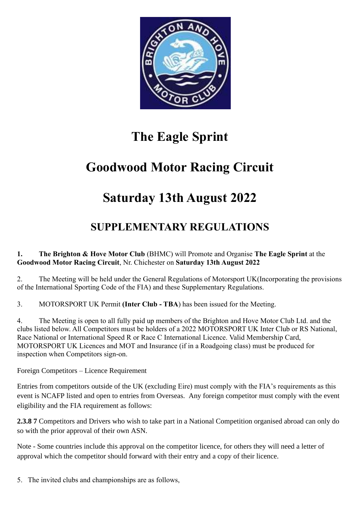

# **The Eagle Sprint**

# **Goodwood Motor Racing Circuit**

# **Saturday 13th August 2022**

# **SUPPLEMENTARY REGULATIONS**

**1. The Brighton & Hove Motor Club** (BHMC) will Promote and Organise **The Eagle Sprint** at the **Goodwood Motor Racing Circuit**, Nr. Chichester on **Saturday 13th August 2022**

2. The Meeting will be held under the General Regulations of Motorsport UK(Incorporating the provisions of the International Sporting Code of the FIA) and these Supplementary Regulations.

3. MOTORSPORT UK Permit **(Inter Club - TBA**) has been issued for the Meeting.

4. The Meeting is open to all fully paid up members of the Brighton and Hove Motor Club Ltd. and the clubs listed below. All Competitors must be holders of a 2022 MOTORSPORT UK Inter Club or RS National, Race National or International Speed R or Race C International Licence. Valid Membership Card, MOTORSPORT UK Licences and MOT and Insurance (if in a Roadgoing class) must be produced for inspection when Competitors sign-on.

Foreign Competitors – Licence Requirement

Entries from competitors outside of the UK (excluding Eire) must comply with the FIA's requirements as this event is NCAFP listed and open to entries from Overseas. Any foreign competitor must comply with the event eligibility and the FIA requirement as follows:

**2.3.8 7** Competitors and Drivers who wish to take part in a National Competition organised abroad can only do so with the prior approval of their own ASN.

Note - Some countries include this approval on the competitor licence, for others they will need a letter of approval which the competitor should forward with their entry and a copy of their licence.

5. The invited clubs and championships are as follows,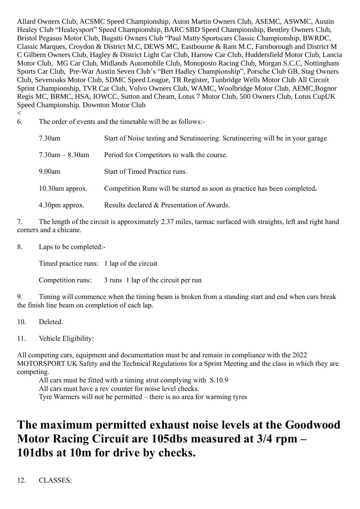Allard Owners Club, ACSMC Speed Championship, Aston Martin Owners Club, ASEMC, ASWMC, Austin Healey Club "Healeysport" Speed Championship, BARC SBD Speed Championship, Bentley Owners Club, Bristol Pegasus Motor Club, Bugatti Owners Club "Paul Matty Sportscars Classic Championship, BWRDC, Classic Marques, Croydon & District M.C, DEWS MC, Eastbourne & Ram M.C, Farnborough and District M C Gilbern Owners Club, Hagley & District Light Car Club, Harrow Car Club, Huddersfield Motor Club, Lancia Motor Club, MG Car Club, Midlands Automobile Club, Monoposto Racing Club, Morgan S.C.C, Nottingham Sports Car Club, Pre-War Austin Seven Club's "Bert Hadley Championship", Porsche Club GB, Stag Owners Club, Sevenoaks Motor Club, SDMC Speed League, TR Register, Tunbridge Wells Motor Club All Circuit Sprint Championship, TVR Car Club, Volvo Owners Club, WAMC, Woolbridge Motor Club, AEMC,Bognor Regis MC, BRMC, HSA, IOWCC, Sutton and Cheam, Lotus 7 Motor Club, 500 Owners Club, Lotus CupUK Speed Championship. Downton Motor Club

 $\,<$ 

6. The order of events and the timetable will be as follows:-

| $7.30$ am            | Start of Noise testing and Scrutineering. Scrutineering will be in your garage |
|----------------------|--------------------------------------------------------------------------------|
| $7.30$ am $-8.30$ am | Period for Competitors to walk the course.                                     |
| 9.00am               | Start of Timed Practice runs.                                                  |
| $10.30$ am approx.   | Competition Runs will be started as soon as practice has been completed.       |
| 4.30pm approx.       | Results declared & Presentation of Awards.                                     |

7. The length of the circuit is approximately 2.37 miles, tarmac surfaced with straights, left and right hand corners and a chicane.

8. Laps to be completed:-

Timed practice runs: 1 lap of the circuit

Competition runs: 3 runs 1 lap of the circuit per run

9. Timing will commence when the timing beam is broken from a standing start and end when cars break the finish line beam on completion of each lap.

10. Deleted.

11. Vehicle Eligibility:

All competing cars, equipment and documentation must be and remain in compliance with the 2022 MOTORSPORT UK Safety and the Technical Regulations for a Sprint Meeting and the class in which they are competing.

All cars must be fitted with a timing strut complying with S.10.9 All cars must have a rev counter for noise level checks. Tyre Warmers will not be permitted – there is no area for warming tyres

# **The maximum permitted exhaust noise levels at the Goodwood Motor Racing Circuit are 105dbs measured at 3/4 rpm – 101dbs at 10m for drive by checks.**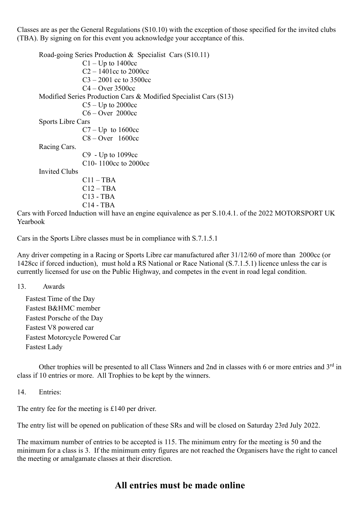Classes are as per the General Regulations (S10.10) with the exception of those specified for the invited clubs (TBA). By signing on for this event you acknowledge your acceptance of this.

Road-going Series Production & Specialist Cars (S10.11)  $C1 - Up$  to 1400cc C2 – 1401cc to 2000cc  $C3 - 2001$  cc to 3500cc C4 – Over 3500cc Modified Series Production Cars & Modified Specialist Cars (S13)  $C5 - Up$  to 2000cc C6 – Over 2000cc Sports Libre Cars  $C7 - Up$  to 1600cc C8 – Over 1600cc Racing Cars. C9 - Up to 1099cc C10- 1100cc to 2000cc Invited Clubs  $C11 - TBA$  $C12 - TBA$ C13 - TBA C14 - TBA

Cars with Forced Induction will have an engine equivalence as per S.10.4.1. of the 2022 MOTORSPORT UK Yearbook

Cars in the Sports Libre classes must be in compliance with S.7.1.5.1

Any driver competing in a Racing or Sports Libre car manufactured after 31/12/60 of more than 2000cc (or 1428cc if forced induction), must hold a RS National or Race National (S.7.1.5.1) licence unless the car is currently licensed for use on the Public Highway, and competes in the event in road legal condition.

13. Awards

Fastest Time of the Day Fastest B&HMC member Fastest Porsche of the Day Fastest V8 powered car Fastest Motorcycle Powered Car Fastest Lady

Other trophies will be presented to all Class Winners and 2nd in classes with 6 or more entries and 3rd in class if 10 entries or more. All Trophies to be kept by the winners.

14. Entries:

The entry fee for the meeting is £140 per driver.

The entry list will be opened on publication of these SRs and will be closed on Saturday 23rd July 2022.

The maximum number of entries to be accepted is 115. The minimum entry for the meeting is 50 and the minimum for a class is 3. If the minimum entry figures are not reached the Organisers have the right to cancel the meeting or amalgamate classes at their discretion.

# **All entries must be made online**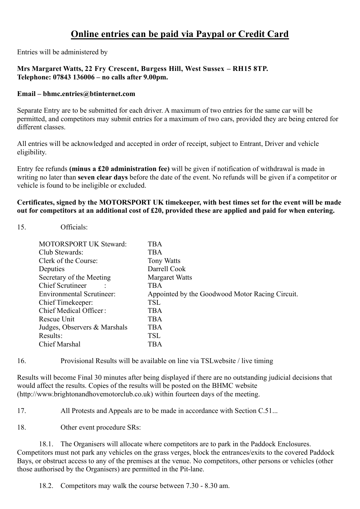# **Online entries can be paid via Paypal or Credit Card**

Entries will be administered by

#### **Mrs Margaret Watts, 22 Fry Crescent, Burgess Hill, West Sussex – RH15 8TP. Telephone: 07843 136006 – no calls after 9.00pm.**

#### **Email – bhmc.entries@btinternet.com**

Separate Entry are to be submitted for each driver. A maximum of two entries for the same car will be permitted, and competitors may submit entries for a maximum of two cars, provided they are being entered for different classes.

All entries will be acknowledged and accepted in order of receipt, subject to Entrant, Driver and vehicle eligibility.

Entry fee refunds **(minus a £20 administration fee)** will be given if notification of withdrawal is made in writing no later than **seven clear days** before the date of the event. No refunds will be given if a competitor or vehicle is found to be ineligible or excluded.

#### **Certificates, signed by the MOTORSPORT UK timekeeper, with best times set for the event will be made out for competitors at an additional cost of £20, provided these are applied and paid for when entering.**

15. Officials:

| <b>MOTORSPORT UK Steward:</b>    | <b>TRA</b>                                      |
|----------------------------------|-------------------------------------------------|
| Club Stewards:                   | <b>TBA</b>                                      |
| Clerk of the Course:             | <b>Tony Watts</b>                               |
| Deputies                         | Darrell Cook                                    |
| Secretary of the Meeting         | <b>Margaret Watts</b>                           |
| <b>Chief Scrutineer</b>          | TBA                                             |
| <b>Environmental Scrutineer:</b> | Appointed by the Goodwood Motor Racing Circuit. |
| Chief Timekeeper:                | <b>TSL</b>                                      |
| Chief Medical Officer:           | <b>TBA</b>                                      |
| Rescue Unit                      | <b>TBA</b>                                      |
| Judges, Observers & Marshals     | <b>TBA</b>                                      |
| Results:                         | <b>TSL</b>                                      |
| Chief Marshal                    | TBA                                             |

16. Provisional Results will be available on line via TSLwebsite / live timing

Results will become Final 30 minutes after being displayed if there are no outstanding judicial decisions that would affect the results. Copies of the results will be posted on the BHMC website (http://www.brightonandhovemotorclub.co.uk) within fourteen days of the meeting.

17. All Protests and Appeals are to be made in accordance with Section C.51...

18. Other event procedure SRs:

18.1. The Organisers will allocate where competitors are to park in the Paddock Enclosures. Competitors must not park any vehicles on the grass verges, block the entrances/exits to the covered Paddock Bays, or obstruct access to any of the premises at the venue. No competitors, other persons or vehicles (other those authorised by the Organisers) are permitted in the Pit-lane.

18.2. Competitors may walk the course between 7.30 - 8.30 am.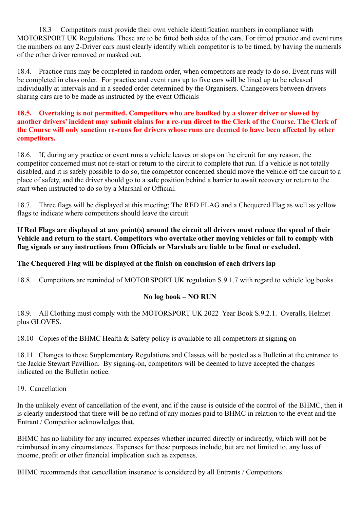18.3 Competitors must provide their own vehicle identification numbers in compliance with MOTORSPORT UK Regulations. These are to be fitted both sides of the cars. For timed practice and event runs the numbers on any 2-Driver cars must clearly identify which competitor is to be timed, by having the numerals of the other driver removed or masked out.

18.4. Practice runs may be completed in random order, when competitors are ready to do so. Event runs will be completed in class order. For practice and event runs up to five cars will be lined up to be released individually at intervals and in a seeded order determined by the Organisers. Changeovers between drivers sharing cars are to be made as instructed by the event Officials

#### **18.5. Overtaking is not permitted. Competitors who are baulked by a slower driver or slowed by another drivers' incident may submit claims for a re-run direct to the Clerk of the Course. The Clerk of the Course will only sanction re-runs for drivers whose runs are deemed to have been affected by other competitors.**

18.6. If, during any practice or event runs a vehicle leaves or stops on the circuit for any reason, the competitor concerned must not re-start or return to the circuit to complete that run. If a vehicle is not totally disabled, and it is safely possible to do so, the competitor concerned should move the vehicle off the circuit to a place of safety, and the driver should go to a safe position behind a barrier to await recovery or return to the start when instructed to do so by a Marshal or Official.

18.7. Three flags will be displayed at this meeting; The RED FLAG and a Chequered Flag as well as yellow flags to indicate where competitors should leave the circuit

#### . **If Red Flags are displayed at any point(s) around the circuit all drivers must reduce the speed of their Vehicle and return to the start. Competitors who overtake other moving vehicles or fail to comply with flag signals or any instructions from Officials or Marshals are liable to be fined or excluded.**

# **The Chequered Flag will be displayed at the finish on conclusion of each drivers lap**

18.8 Competitors are reminded of MOTORSPORT UK regulation S.9.1.7 with regard to vehicle log books

# **No log book – NO RUN**

18.9. All Clothing must comply with the MOTORSPORT UK 2022 Year Book S.9.2.1. Overalls, Helmet plus GLOVES.

18.10 Copies of the BHMC Health & Safety policy is available to all competitors at signing on

18.11 Changes to these Supplementary Regulations and Classes will be posted as a Bulletin at the entrance to the Jackie Stewart Pavillion. By signing-on, competitors will be deemed to have accepted the changes indicated on the Bulletin notice.

#### 19. Cancellation

In the unlikely event of cancellation of the event, and if the cause is outside of the control of the BHMC, then it is clearly understood that there will be no refund of any monies paid to BHMC in relation to the event and the Entrant / Competitor acknowledges that.

BHMC has no liability for any incurred expenses whether incurred directly or indirectly, which will not be reimbursed in any circumstances. Expenses for these purposes include, but are not limited to, any loss of income, profit or other financial implication such as expenses.

BHMC recommends that cancellation insurance is considered by all Entrants / Competitors.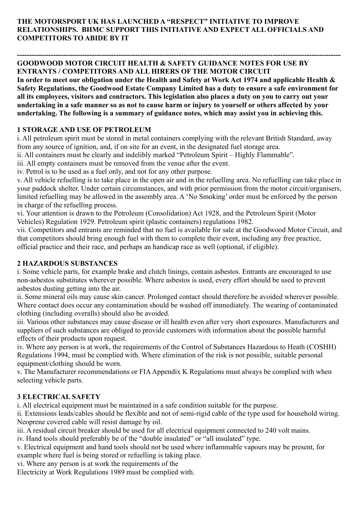### **THE MOTORSPORT UK HAS LAUNCHED A "RESPECT" INITIATIVE TO IMPROVE RELATIONSHIPS. BHMC SUPPORT THIS INITIATIVE AND EXPECT ALL OFFICIALS AND COMPETITORS TO ABIDE BY IT**

#### **-------------------------------------------------------------------------------------------------------------------------------------- GOODWOOD MOTOR CIRCUIT HEALTH & SAFETY GUIDANCE NOTES FOR USE BY ENTRANTS / COMPETITORS AND ALL HIRERS OF THE MOTOR CIRCUIT**

**In order to meet our obligation under the Health and Safety at Work Act 1974 and applicable Health & Safety Regulations, the Goodwood Estate Company Limited has a duty to ensure a safe environment for all its employees, visitors and contractors. This legislation also places a duty on you to carry out your undertaking in a safe manner so as not to cause harm or injury to yourself or others affected by your undertaking. The following is a summary of guidance notes, which may assist you in achieving this.** 

# **1 STORAGE AND USE OF PETROLEUM**

i. All petroleum spirit must be stored in metal containers complying with the relevant British Standard, away from any source of ignition, and, if on site for an event, in the designated fuel storage area.

ii. All containers must be clearly and indelibly marked "Petroleum Spirit – Highly Flammable".

iii. All empty containers must be removed from the venue after the event.

iv. Petrol is to be used as a fuel only, and not for any other purpose.

v. All vehicle refuelling is to take place in the open air and in the refuelling area. No refuelling can take place in your paddock shelter. Under certain circumstances, and with prior permission from the motor circuit/organisers, limited refuelling may be allowed in the assembly area. A 'No Smoking' order must be enforced by the person in charge of the refuelling process.

vi. Your attention is drawn to the Petroleum (Consolidation) Act 1928, and the Petroleum Spirit (Motor Vehicles) Regulation 1929. Petroleum spirit (plastic containers) regulations 1982.

vii. Competitors and entrants are reminded that no fuel is available for sale at the Goodwood Motor Circuit, and that competitors should bring enough fuel with them to complete their event, including any free practice, official practice and their race, and perhaps an handicap race as well (optional, if eligible).

# **2 HAZARDOUS SUBSTANCES**

i. Some vehicle parts, for example brake and clutch linings, contain asbestos. Entrants are encouraged to use non-asbestos substitutes wherever possible. Where asbestos is used, every effort should be used to prevent asbestos dusting getting into the air.

ii. Some mineral oils may cause skin cancer. Prolonged contact should therefore be avoided wherever possible. Where contact does occur any contamination should be washed off immediately. The wearing of contaminated clothing (including overalls) should also be avoided.

iii. Various other substances may cause disease or ill health even after very short exposures. Manufacturers and suppliers of such substances are obliged to provide customers with information about the possible harmful effects of their products upon request.

iv. Where any person is at work, the requirements of the Control of Substances Hazardous to Heath (COSHH) Regulations 1994, must be complied with. Where elimination of the risk is not possible, suitable personal equipment/clothing should be worn.

v. The Manufacturer recommendations or FIA Appendix K Regulations must always be complied with when selecting vehicle parts.

# **3 ELECTRICAL SAFETY**

i. All electrical equipment must be maintained in a safe condition suitable for the purpose.

ii. Extensions leads/cables should be flexible and not of semi-rigid cable of the type used for household wiring. Neoprene covered cable will resist damage by oil.

iii. A residual circuit breaker should be used for all electrical equipment connected to 240 volt mains.

iv. Hand tools should preferably be of the "double insulated" or "all insulated" type.

v. Electrical equipment and hand tools should not be used where inflammable vapours may be present, for example where fuel is being stored or refuelling is taking place.

vi. Where any person is at work the requirements of the

Electricity at Work Regulations 1989 must be complied with.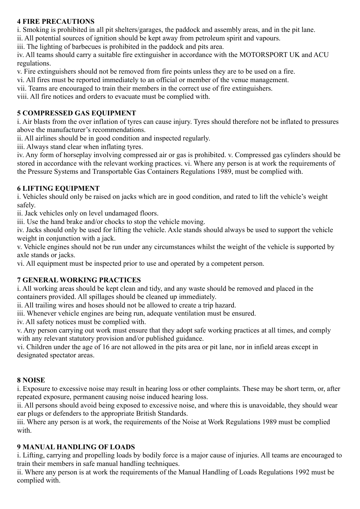### **4 FIRE PRECAUTIONS**

i. Smoking is prohibited in all pit shelters/garages, the paddock and assembly areas, and in the pit lane.

ii. All potential sources of ignition should be kept away from petroleum spirit and vapours.

iii. The lighting of barbecues is prohibited in the paddock and pits area.

iv. All teams should carry a suitable fire extinguisher in accordance with the MOTORSPORT UK and ACU regulations.

v. Fire extinguishers should not be removed from fire points unless they are to be used on a fire.

vi. All fires must be reported immediately to an official or member of the venue management.

vii. Teams are encouraged to train their members in the correct use of fire extinguishers.

viii. All fire notices and orders to evacuate must be complied with.

# **5 COMPRESSED GAS EQUIPMENT**

i. Air blasts from the over inflation of tyres can cause injury. Tyres should therefore not be inflated to pressures above the manufacturer's recommendations.

ii. All airlines should be in good condition and inspected regularly.

iii. Always stand clear when inflating tyres.

iv. Any form of horseplay involving compressed air or gas is prohibited. v. Compressed gas cylinders should be stored in accordance with the relevant working practices. vi. Where any person is at work the requirements of the Pressure Systems and Transportable Gas Containers Regulations 1989, must be complied with.

# **6 LIFTING EQUIPMENT**

i. Vehicles should only be raised on jacks which are in good condition, and rated to lift the vehicle's weight safely.

ii. Jack vehicles only on level undamaged floors.

iii. Use the hand brake and/or chocks to stop the vehicle moving.

iv. Jacks should only be used for lifting the vehicle. Axle stands should always be used to support the vehicle weight in conjunction with a jack.

v. Vehicle engines should not be run under any circumstances whilst the weight of the vehicle is supported by axle stands or jacks.

vi. All equipment must be inspected prior to use and operated by a competent person.

# **7 GENERAL WORKING PRACTICES**

i. All working areas should be kept clean and tidy, and any waste should be removed and placed in the containers provided. All spillages should be cleaned up immediately.

ii. All trailing wires and hoses should not be allowed to create a trip hazard.

iii. Whenever vehicle engines are being run, adequate ventilation must be ensured.

iv. All safety notices must be complied with.

v. Any person carrying out work must ensure that they adopt safe working practices at all times, and comply with any relevant statutory provision and/or published guidance.

vi. Children under the age of 16 are not allowed in the pits area or pit lane, nor in infield areas except in designated spectator areas.

# **8 NOISE**

i. Exposure to excessive noise may result in hearing loss or other complaints. These may be short term, or, after repeated exposure, permanent causing noise induced hearing loss.

ii. All persons should avoid being exposed to excessive noise, and where this is unavoidable, they should wear ear plugs or defenders to the appropriate British Standards.

iii. Where any person is at work, the requirements of the Noise at Work Regulations 1989 must be complied with.

# **9 MANUAL HANDLING OF LOADS**

i. Lifting, carrying and propelling loads by bodily force is a major cause of injuries. All teams are encouraged to train their members in safe manual handling techniques.

ii. Where any person is at work the requirements of the Manual Handling of Loads Regulations 1992 must be complied with.